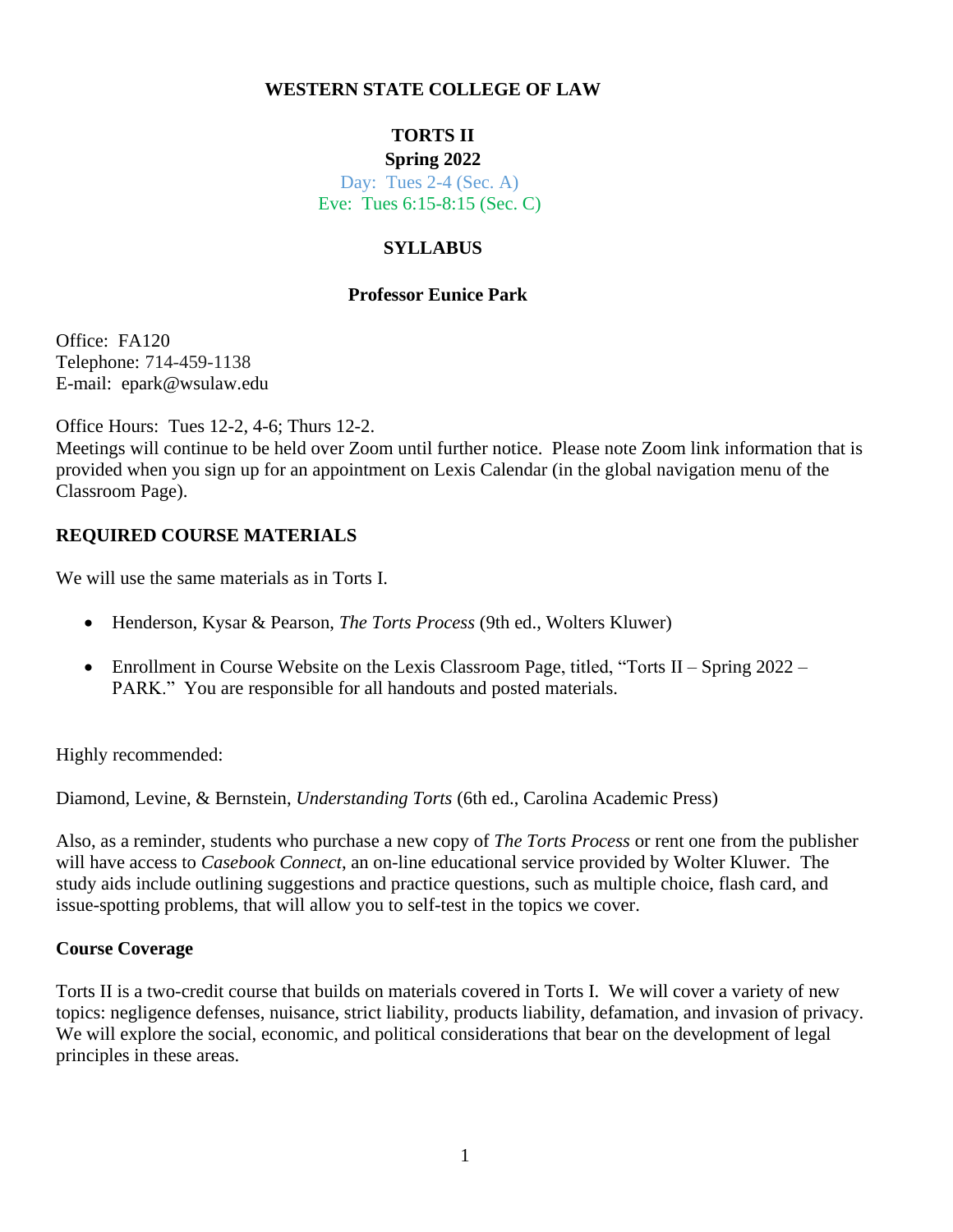### **WESTERN STATE COLLEGE OF LAW**

# **TORTS II**

### **Spring 2022**

Day: Tues 2-4 (Sec. A) Eve: Tues 6:15-8:15 (Sec. C)

# **SYLLABUS**

### **Professor Eunice Park**

Office: FA120 Telephone: 714-459-1138 E-mail: epark@wsulaw.edu

Office Hours: Tues 12-2, 4-6; Thurs 12-2.

Meetings will continue to be held over Zoom until further notice. Please note Zoom link information that is provided when you sign up for an appointment on Lexis Calendar (in the global navigation menu of the Classroom Page).

## **REQUIRED COURSE MATERIALS**

We will use the same materials as in Torts I.

- Henderson, Kysar & Pearson, *The Torts Process* (9th ed., Wolters Kluwer)
- Enrollment in Course Website on the Lexis Classroom Page, titled, "Torts II Spring 2022 PARK." You are responsible for all handouts and posted materials.

Highly recommended:

Diamond, Levine, & Bernstein, *Understanding Torts* (6th ed., Carolina Academic Press)

Also, as a reminder, students who purchase a new copy of *The Torts Process* or rent one from the publisher will have access to *Casebook Connect*, an on-line educational service provided by Wolter Kluwer. The study aids include outlining suggestions and practice questions, such as multiple choice, flash card, and issue-spotting problems, that will allow you to self-test in the topics we cover.

## **Course Coverage**

Torts II is a two-credit course that builds on materials covered in Torts I. We will cover a variety of new topics: negligence defenses, nuisance, strict liability, products liability, defamation, and invasion of privacy. We will explore the social, economic, and political considerations that bear on the development of legal principles in these areas.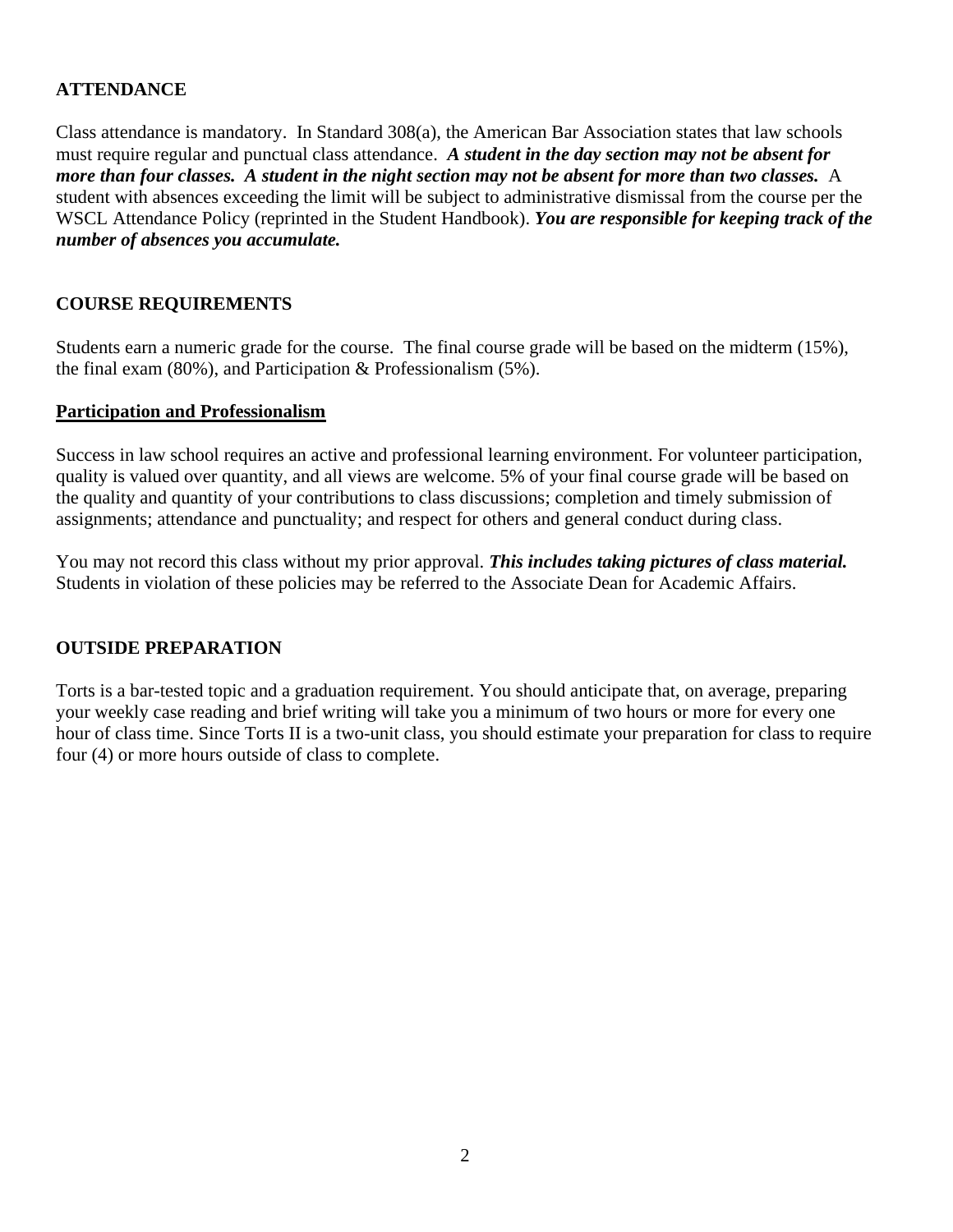# **ATTENDANCE**

Class attendance is mandatory. In Standard 308(a), the American Bar Association states that law schools must require regular and punctual class attendance. *A student in the day section may not be absent for more than four classes. A student in the night section may not be absent for more than two classes.* A student with absences exceeding the limit will be subject to administrative dismissal from the course per the WSCL Attendance Policy (reprinted in the Student Handbook). *You are responsible for keeping track of the number of absences you accumulate.*

## **COURSE REQUIREMENTS**

Students earn a numeric grade for the course. The final course grade will be based on the midterm (15%), the final exam (80%), and Participation & Professionalism (5%).

### **Participation and Professionalism**

Success in law school requires an active and professional learning environment. For volunteer participation, quality is valued over quantity, and all views are welcome. 5% of your final course grade will be based on the quality and quantity of your contributions to class discussions; completion and timely submission of assignments; attendance and punctuality; and respect for others and general conduct during class.

You may not record this class without my prior approval. *This includes taking pictures of class material.* Students in violation of these policies may be referred to the Associate Dean for Academic Affairs.

### **OUTSIDE PREPARATION**

Torts is a bar-tested topic and a graduation requirement. You should anticipate that, on average, preparing your weekly case reading and brief writing will take you a minimum of two hours or more for every one hour of class time. Since Torts II is a two-unit class, you should estimate your preparation for class to require four (4) or more hours outside of class to complete.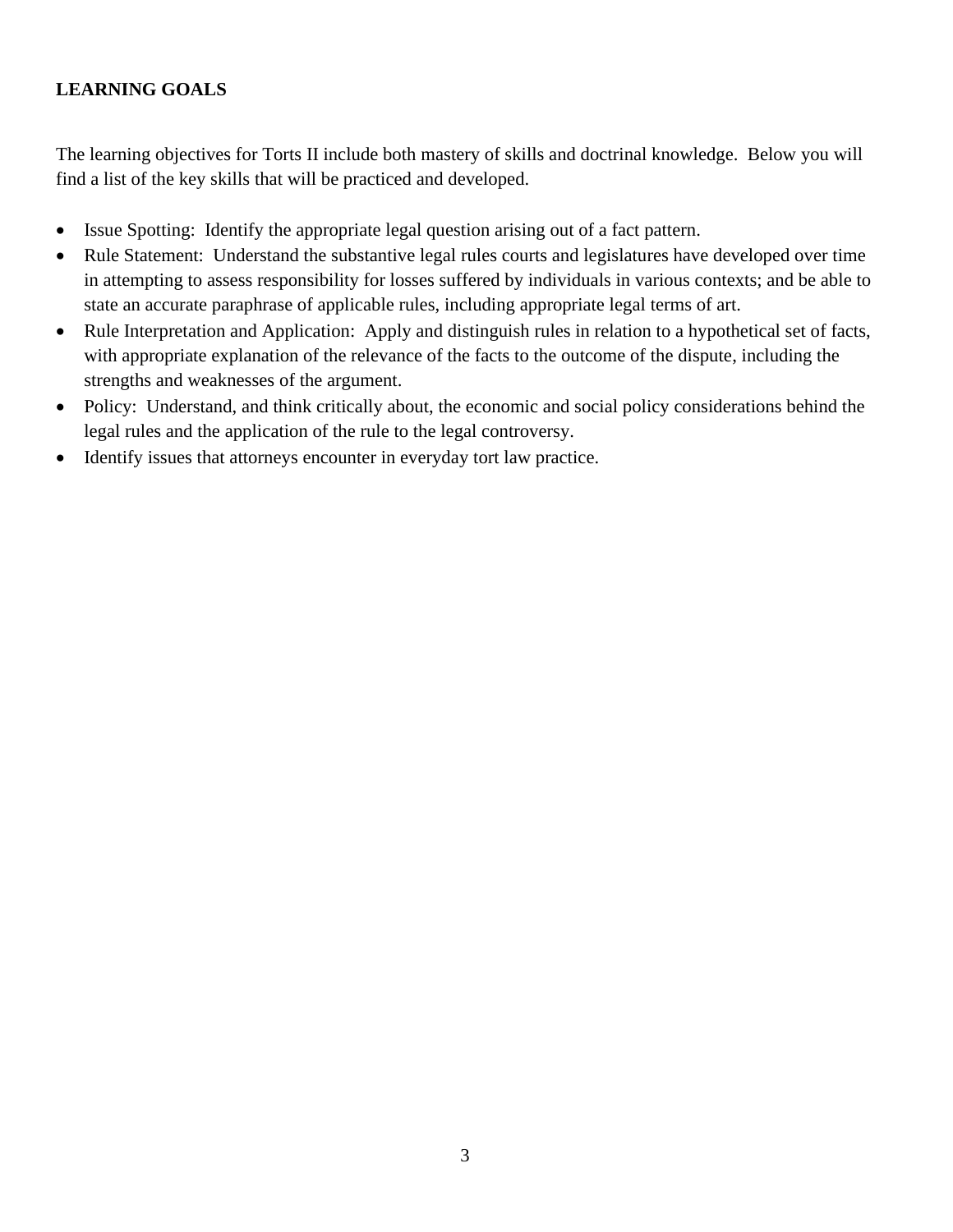# **LEARNING GOALS**

The learning objectives for Torts II include both mastery of skills and doctrinal knowledge. Below you will find a list of the key skills that will be practiced and developed.

- Issue Spotting: Identify the appropriate legal question arising out of a fact pattern.
- Rule Statement: Understand the substantive legal rules courts and legislatures have developed over time in attempting to assess responsibility for losses suffered by individuals in various contexts; and be able to state an accurate paraphrase of applicable rules, including appropriate legal terms of art.
- Rule Interpretation and Application: Apply and distinguish rules in relation to a hypothetical set of facts, with appropriate explanation of the relevance of the facts to the outcome of the dispute, including the strengths and weaknesses of the argument.
- Policy: Understand, and think critically about, the economic and social policy considerations behind the legal rules and the application of the rule to the legal controversy.
- Identify issues that attorneys encounter in everyday tort law practice.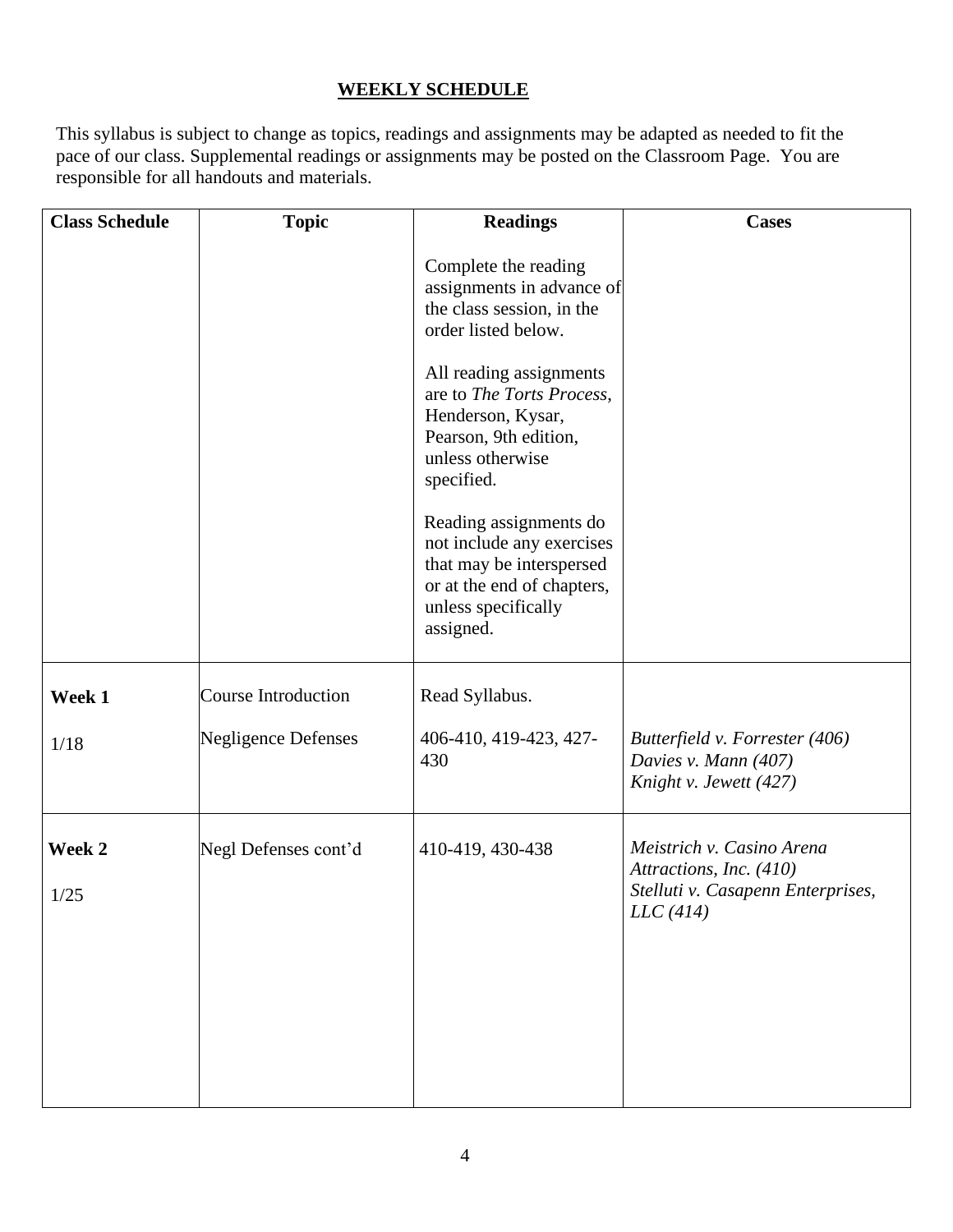# **WEEKLY SCHEDULE**

This syllabus is subject to change as topics, readings and assignments may be adapted as needed to fit the pace of our class. Supplemental readings or assignments may be posted on the Classroom Page. You are responsible for all handouts and materials.

| <b>Class Schedule</b> | <b>Topic</b>               | <b>Readings</b>                                                                                                                                   | <b>Cases</b>                                                                                          |
|-----------------------|----------------------------|---------------------------------------------------------------------------------------------------------------------------------------------------|-------------------------------------------------------------------------------------------------------|
|                       |                            | Complete the reading<br>assignments in advance of<br>the class session, in the<br>order listed below.                                             |                                                                                                       |
|                       |                            | All reading assignments<br>are to The Torts Process,<br>Henderson, Kysar,<br>Pearson, 9th edition,<br>unless otherwise<br>specified.              |                                                                                                       |
|                       |                            | Reading assignments do<br>not include any exercises<br>that may be interspersed<br>or at the end of chapters,<br>unless specifically<br>assigned. |                                                                                                       |
| Week 1                | <b>Course Introduction</b> | Read Syllabus.                                                                                                                                    |                                                                                                       |
| 1/18                  | <b>Negligence Defenses</b> | 406-410, 419-423, 427-<br>430                                                                                                                     | Butterfield v. Forrester (406)<br>Davies v. Mann (407)<br>Knight v. Jewett (427)                      |
| Week 2<br>1/25        | Negl Defenses cont'd       | 410-419, 430-438                                                                                                                                  | Meistrich v. Casino Arena<br>Attractions, Inc. (410)<br>Stelluti v. Casapenn Enterprises,<br>LLC(414) |
|                       |                            |                                                                                                                                                   |                                                                                                       |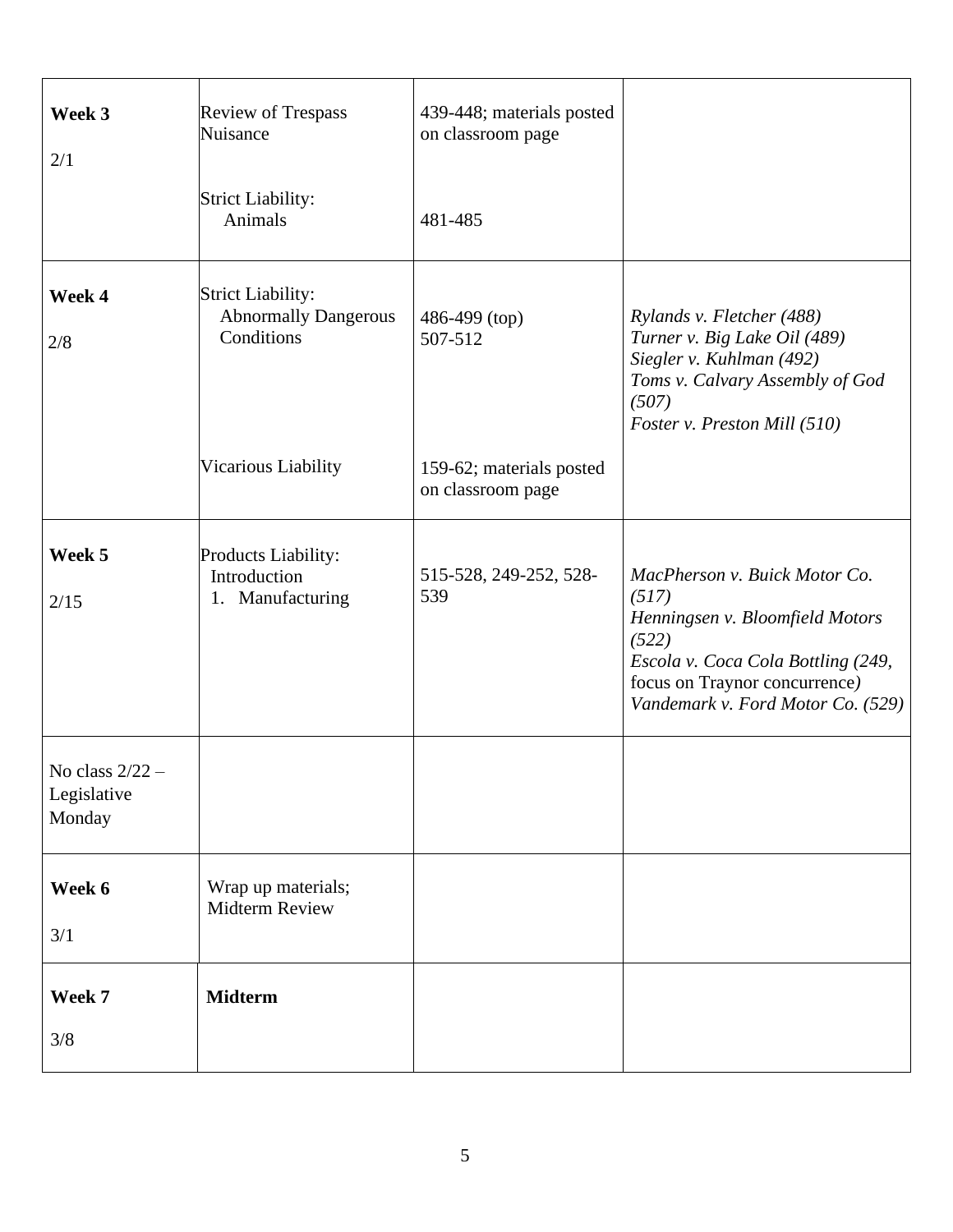| Week 3<br>2/1                              | <b>Review of Trespass</b><br>Nuisance<br>Strict Liability:<br>Animals | 439-448; materials posted<br>on classroom page<br>481-485 |                                                                                                                                                                                                |
|--------------------------------------------|-----------------------------------------------------------------------|-----------------------------------------------------------|------------------------------------------------------------------------------------------------------------------------------------------------------------------------------------------------|
|                                            |                                                                       |                                                           |                                                                                                                                                                                                |
| Week 4<br>2/8                              | <b>Strict Liability:</b><br><b>Abnormally Dangerous</b><br>Conditions | 486-499 (top)<br>507-512                                  | Rylands v. Fletcher (488)<br>Turner v. Big Lake Oil (489)<br>Siegler v. Kuhlman (492)<br>Toms v. Calvary Assembly of God<br>(507)<br>Foster v. Preston Mill (510)                              |
|                                            | Vicarious Liability                                                   | 159-62; materials posted<br>on classroom page             |                                                                                                                                                                                                |
| Week 5<br>2/15                             | <b>Products Liability:</b><br>Introduction<br>1. Manufacturing        | 515-528, 249-252, 528-<br>539                             | MacPherson v. Buick Motor Co.<br>(517)<br>Henningsen v. Bloomfield Motors<br>(522)<br>Escola v. Coca Cola Bottling (249,<br>focus on Traynor concurrence)<br>Vandemark v. Ford Motor Co. (529) |
| No class $2/22$ –<br>Legislative<br>Monday |                                                                       |                                                           |                                                                                                                                                                                                |
| Week 6<br>3/1                              | Wrap up materials;<br><b>Midterm Review</b>                           |                                                           |                                                                                                                                                                                                |
| Week 7<br>3/8                              | <b>Midterm</b>                                                        |                                                           |                                                                                                                                                                                                |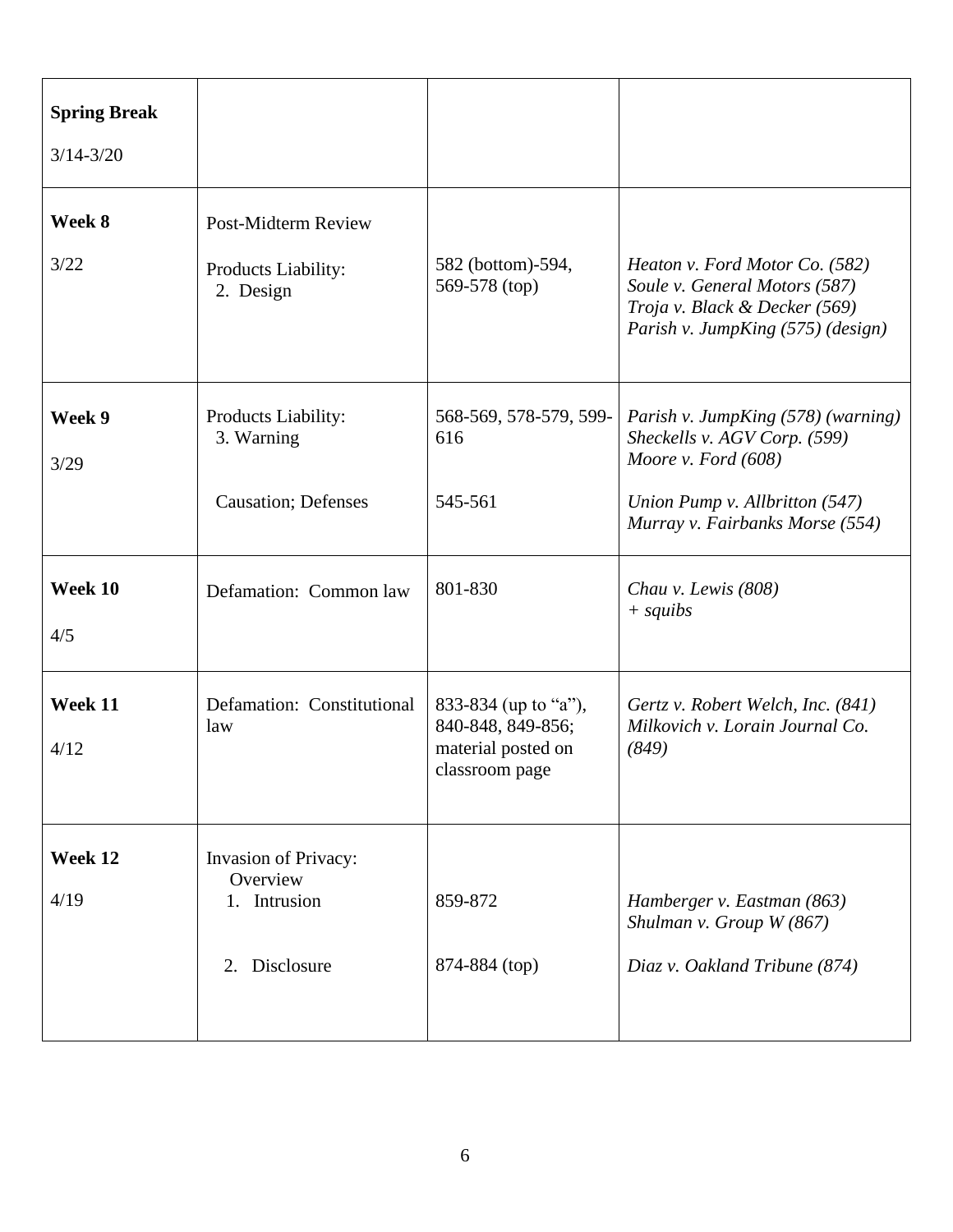| <b>Spring Break</b><br>$3/14 - 3/20$ |                                                                   |                                                                                   |                                                                                                                                                                  |
|--------------------------------------|-------------------------------------------------------------------|-----------------------------------------------------------------------------------|------------------------------------------------------------------------------------------------------------------------------------------------------------------|
| Week 8<br>3/22                       | Post-Midterm Review<br>Products Liability:<br>2. Design           | 582 (bottom)-594,<br>569-578 (top)                                                | Heaton v. Ford Motor Co. (582)<br>Soule v. General Motors (587)<br>Troja v. Black & Decker (569)<br>Parish v. JumpKing (575) (design)                            |
| Week 9<br>3/29                       | Products Liability:<br>3. Warning<br><b>Causation</b> ; Defenses  | 568-569, 578-579, 599-<br>616<br>545-561                                          | Parish v. JumpKing (578) (warning)<br>Sheckells v. AGV Corp. (599)<br>Moore v. Ford $(608)$<br>Union Pump v. Allbritton (547)<br>Murray v. Fairbanks Morse (554) |
| Week 10<br>4/5                       | Defamation: Common law                                            | 801-830                                                                           | Chau v. Lewis $(808)$<br>$+$ squibs                                                                                                                              |
| Week 11<br>4/12                      | Defamation: Constitutional<br>law                                 | 833-834 (up to "a"),<br>840-848, 849-856;<br>material posted on<br>classroom page | Gertz v. Robert Welch, Inc. (841)<br>Milkovich v. Lorain Journal Co.<br>(849)                                                                                    |
| Week 12<br>4/19                      | Invasion of Privacy:<br>Overview<br>1. Intrusion<br>2. Disclosure | 859-872<br>874-884 (top)                                                          | Hamberger v. Eastman (863)<br>Shulman v. Group W (867)<br>Diaz v. Oakland Tribune (874)                                                                          |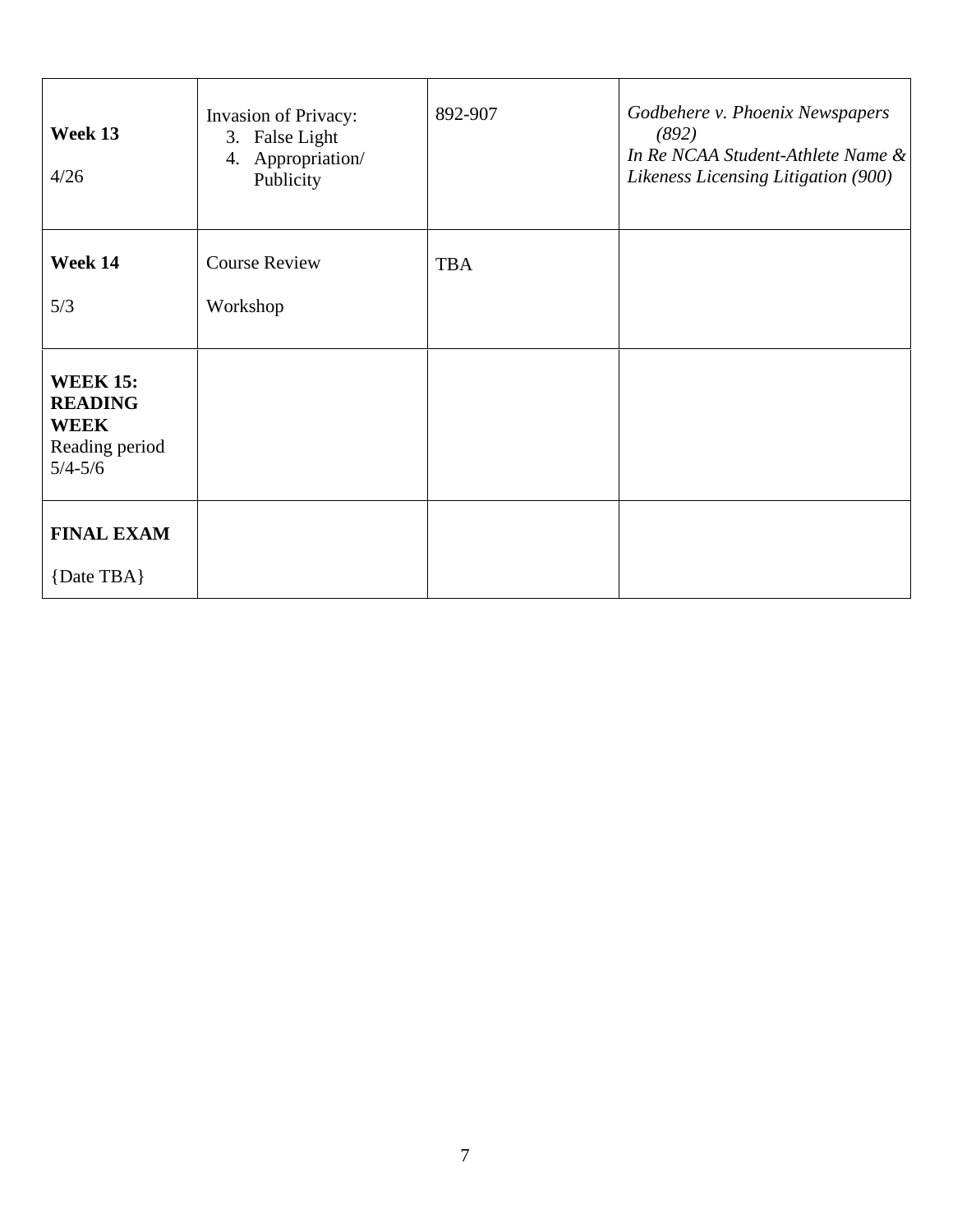| Week 13<br>4/26                                                                   | <b>Invasion of Privacy:</b><br>3. False Light<br>4. Appropriation/<br>Publicity | 892-907    | Godbehere v. Phoenix Newspapers<br>(892)<br>In Re NCAA Student-Athlete Name &<br>Likeness Licensing Litigation (900) |
|-----------------------------------------------------------------------------------|---------------------------------------------------------------------------------|------------|----------------------------------------------------------------------------------------------------------------------|
| Week 14                                                                           | <b>Course Review</b>                                                            | <b>TBA</b> |                                                                                                                      |
| 5/3                                                                               | Workshop                                                                        |            |                                                                                                                      |
| <b>WEEK 15:</b><br><b>READING</b><br><b>WEEK</b><br>Reading period<br>$5/4 - 5/6$ |                                                                                 |            |                                                                                                                      |
| <b>FINAL EXAM</b><br>{Date TBA}                                                   |                                                                                 |            |                                                                                                                      |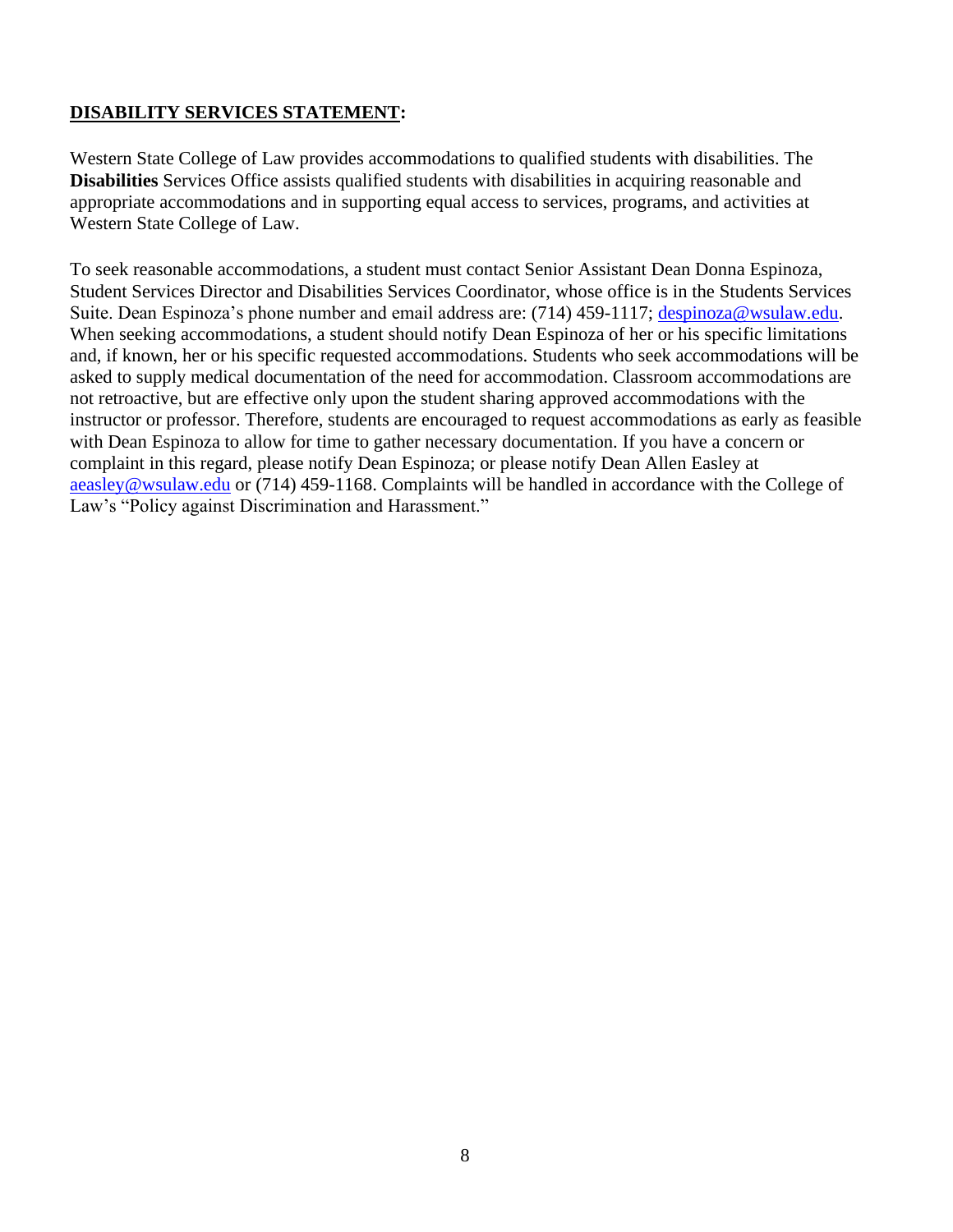# **DISABILITY SERVICES STATEMENT:**

Western State College of Law provides accommodations to qualified students with disabilities. The **Disabilities** Services Office assists qualified students with disabilities in acquiring reasonable and appropriate accommodations and in supporting equal access to services, programs, and activities at Western State College of Law.

To seek reasonable accommodations, a student must contact Senior Assistant Dean Donna Espinoza, Student Services Director and Disabilities Services Coordinator, whose office is in the Students Services Suite. Dean Espinoza's phone number and email address are: (714) 459-1117; [despinoza@wsulaw.edu.](about:blank) When seeking accommodations, a student should notify Dean Espinoza of her or his specific limitations and, if known, her or his specific requested accommodations. Students who seek accommodations will be asked to supply medical documentation of the need for accommodation. Classroom accommodations are not retroactive, but are effective only upon the student sharing approved accommodations with the instructor or professor. Therefore, students are encouraged to request accommodations as early as feasible with Dean Espinoza to allow for time to gather necessary documentation. If you have a concern or complaint in this regard, please notify Dean Espinoza; or please notify Dean Allen Easley at [aeasley@wsulaw.edu](about:blank) or (714) 459-1168. Complaints will be handled in accordance with the College of Law's "Policy against Discrimination and Harassment."